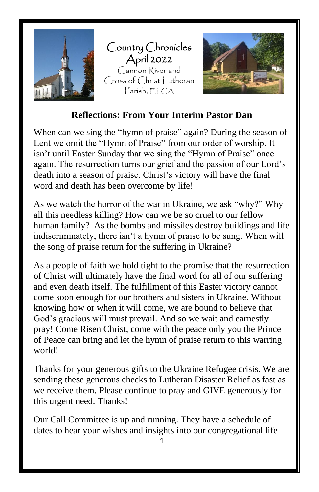

#### **Reflections: From Your Interim Pastor Dan**

When can we sing the "hymn of praise" again? During the season of Lent we omit the "Hymn of Praise" from our order of worship. It isn't until Easter Sunday that we sing the "Hymn of Praise" once again. The resurrection turns our grief and the passion of our Lord's death into a season of praise. Christ's victory will have the final word and death has been overcome by life!

As we watch the horror of the war in Ukraine, we ask "why?" Why all this needless killing? How can we be so cruel to our fellow human family? As the bombs and missiles destroy buildings and life indiscriminately, there isn't a hymn of praise to be sung. When will the song of praise return for the suffering in Ukraine?

As a people of faith we hold tight to the promise that the resurrection of Christ will ultimately have the final word for all of our suffering and even death itself. The fulfillment of this Easter victory cannot come soon enough for our brothers and sisters in Ukraine. Without knowing how or when it will come, we are bound to believe that God's gracious will must prevail. And so we wait and earnestly pray! Come Risen Christ, come with the peace only you the Prince of Peace can bring and let the hymn of praise return to this warring world!

Thanks for your generous gifts to the Ukraine Refugee crisis. We are sending these generous checks to Lutheran Disaster Relief as fast as we receive them. Please continue to pray and GIVE generously for this urgent need. Thanks!

Our Call Committee is up and running. They have a schedule of dates to hear your wishes and insights into our congregational life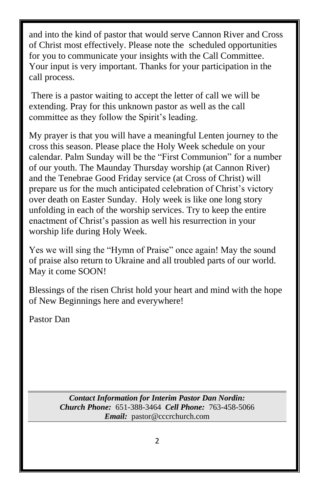and into the kind of pastor that would serve Cannon River and Cross of Christ most effectively. Please note the scheduled opportunities for you to communicate your insights with the Call Committee. Your input is very important. Thanks for your participation in the call process.

There is a pastor waiting to accept the letter of call we will be extending. Pray for this unknown pastor as well as the call committee as they follow the Spirit's leading.

My prayer is that you will have a meaningful Lenten journey to the cross this season. Please place the Holy Week schedule on your calendar. Palm Sunday will be the "First Communion" for a number of our youth. The Maunday Thursday worship (at Cannon River) and the Tenebrae Good Friday service (at Cross of Christ) will prepare us for the much anticipated celebration of Christ's victory over death on Easter Sunday. Holy week is like one long story unfolding in each of the worship services. Try to keep the entire enactment of Christ's passion as well his resurrection in your worship life during Holy Week.

Yes we will sing the "Hymn of Praise" once again! May the sound of praise also return to Ukraine and all troubled parts of our world. May it come SOON!

Blessings of the risen Christ hold your heart and mind with the hope of New Beginnings here and everywhere!

Pastor Dan

*Contact Information for Interim Pastor Dan Nordin: Church Phone:* 651-388-3464 *Cell Phone:* 763-458-5066 *Email:* pastor@cccrchurch.com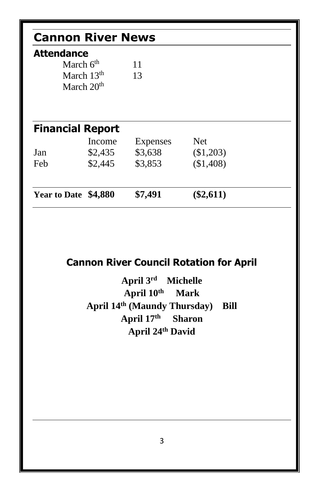| <b>Cannon River News</b>                              |         |                 |            |  |  |  |  |
|-------------------------------------------------------|---------|-----------------|------------|--|--|--|--|
| <b>Attendance</b>                                     |         |                 |            |  |  |  |  |
| March $6th$<br>March 13 <sup>th</sup><br>March $20th$ |         | 11<br>13        |            |  |  |  |  |
|                                                       |         |                 |            |  |  |  |  |
|                                                       |         |                 |            |  |  |  |  |
|                                                       |         |                 |            |  |  |  |  |
| <b>Financial Report</b>                               | Income  | <b>Expenses</b> | <b>Net</b> |  |  |  |  |
| Jan                                                   | \$2,435 | \$3,638         | (\$1,203)  |  |  |  |  |
| Feb                                                   | \$2,445 | \$3,853         | (\$1,408)  |  |  |  |  |

# **Cannon River Council Rotation for April**

**April 3 Michelle April 10th Mark April 14 th (Maundy Thursday) Bill April 17th Sharon April 24th David**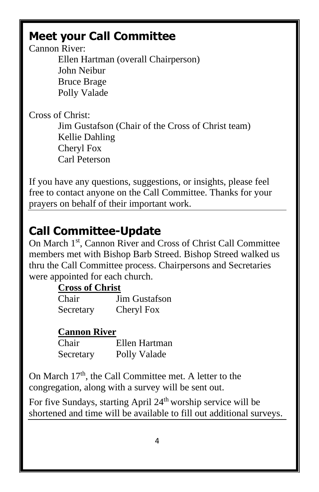# **Meet your Call Committee**

Cannon River:

Ellen Hartman (overall Chairperson) John Neibur Bruce Brage Polly Valade

Cross of Christ:

Jim Gustafson (Chair of the Cross of Christ team) Kellie Dahling Cheryl Fox Carl Peterson

If you have any questions, suggestions, or insights, please feel free to contact anyone on the Call Committee. Thanks for your prayers on behalf of their important work.

# **Call Committee-Update**

On March 1st, Cannon River and Cross of Christ Call Committee members met with Bishop Barb Streed. Bishop Streed walked us thru the Call Committee process. Chairpersons and Secretaries were appointed for each church.

### **Cross of Christ**

| Chair     | <b>Jim Gustafson</b> |
|-----------|----------------------|
| Secretary | Cheryl Fox           |

### **Cannon River**

| Chair     | Ellen Hartman |
|-----------|---------------|
| Secretary | Polly Valade  |

On March  $17<sup>th</sup>$ , the Call Committee met. A letter to the congregation, along with a survey will be sent out.

For five Sundays, starting April 24<sup>th</sup> worship service will be shortened and time will be available to fill out additional surveys.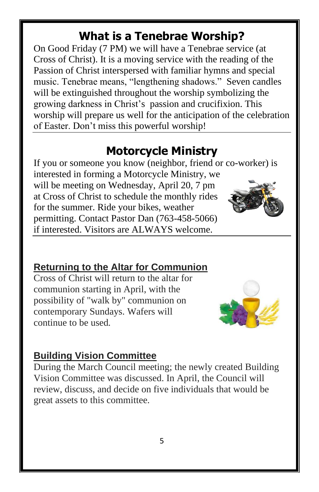# **What is a Tenebrae Worship?**

On Good Friday (7 PM) we will have a Tenebrae service (at Cross of Christ). It is a moving service with the reading of the Passion of Christ interspersed with familiar hymns and special music. Tenebrae means, "lengthening shadows." Seven candles will be extinguished throughout the worship symbolizing the growing darkness in Christ's passion and crucifixion. This worship will prepare us well for the anticipation of the celebration of Easter. Don't miss this powerful worship!

## **Motorcycle Ministry**

If you or someone you know (neighbor, friend or co-worker) is interested in forming a Motorcycle Ministry, we will be meeting on Wednesday, April 20, 7 pm at Cross of Christ to schedule the monthly rides for the summer. Ride your bikes, weather permitting. Contact Pastor Dan (763-458-5066) if interested. Visitors are ALWAYS welcome.

### **Returning to the Altar for Communion**

Cross of Christ will return to the altar for communion starting in April, with the possibility of "walk by" communion on contemporary Sundays. Wafers will continue to be used*.*



### **Building Vision Committee**

During the March Council meeting; the newly created Building Vision Committee was discussed. In April, the Council will review, discuss, and decide on five individuals that would be great assets to this committee.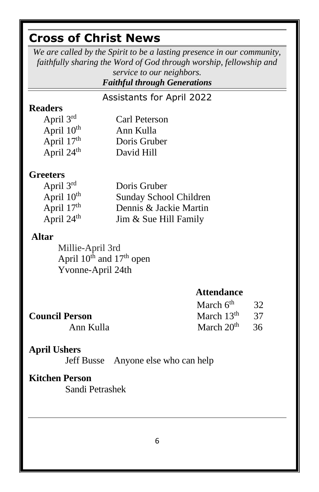# **Cross of Christ News**

*We are called by the Spirit to be a lasting presence in our community, faithfully sharing the Word of God through worship, fellowship and service to our neighbors.*

*Faithful through Generations*

Assistants for April 2022

#### **Readers**

| April 3rd              | Carl Peterson |
|------------------------|---------------|
| April 10 <sup>th</sup> | Ann Kulla     |
| April 17th             | Doris Gruber  |
| April $24th$           | David Hill    |

#### **Greeters**

| April $3rd$            | Doris Gruber           |
|------------------------|------------------------|
| April 10 <sup>th</sup> | Sunday School Children |
| April $17th$           | Dennis & Jackie Martin |
| April 24 <sup>th</sup> | Jim & Sue Hill Family  |

#### **Altar**

Millie-April 3rd April  $10^{th}$  and  $17^{th}$  open Yvonne-April 24th

#### **Attendance**

|                       | March $6^{th}$ 32 |  |
|-----------------------|-------------------|--|
| <b>Council Person</b> | March $13th$ 37   |  |
| Ann Kulla             | March $20th$ 36   |  |

#### **Council Person** Ann Kulla

#### **April Ushers**

Jeff Busse Anyone else who can help

### **Kitchen Person**

Sandi Petrashek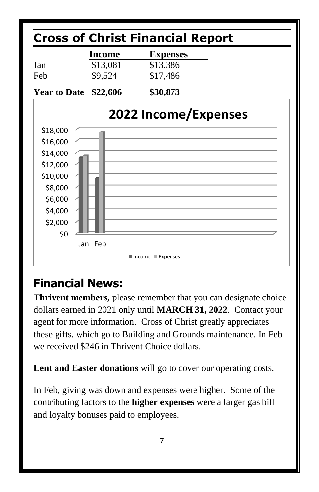

# **Financial News:**

**Thrivent members,** please remember that you can designate choice dollars earned in 2021 only until **MARCH 31, 2022**. Contact your agent for more information. Cross of Christ greatly appreciates these gifts, which go to Building and Grounds maintenance. In Feb we received \$246 in Thrivent Choice dollars.

**Lent and Easter donations** will go to cover our operating costs.

In Feb, giving was down and expenses were higher. Some of the contributing factors to the **higher expenses** were a larger gas bill and loyalty bonuses paid to employees.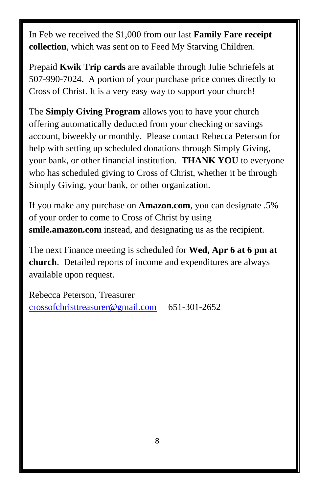In Feb we received the \$1,000 from our last **Family Fare receipt collection**, which was sent on to Feed My Starving Children.

Prepaid **Kwik Trip cards** are available through Julie Schriefels at 507-990-7024. A portion of your purchase price comes directly to Cross of Christ. It is a very easy way to support your church!

The **Simply Giving Program** allows you to have your church offering automatically deducted from your checking or savings account, biweekly or monthly. Please contact Rebecca Peterson for help with setting up scheduled donations through Simply Giving, your bank, or other financial institution. **THANK YOU** to everyone who has scheduled giving to Cross of Christ, whether it be through Simply Giving, your bank, or other organization.

If you make any purchase on **Amazon.com**, you can designate .5% of your order to come to Cross of Christ by using **smile.amazon.com** instead, and designating us as the recipient.

The next Finance meeting is scheduled for **Wed, Apr 6 at 6 pm at church**. Detailed reports of income and expenditures are always available upon request.

Rebecca Peterson, Treasurer [crossofchristtreasurer@gmail.com](mailto:crossofchristtreasurer@gmail.com) 651-301-2652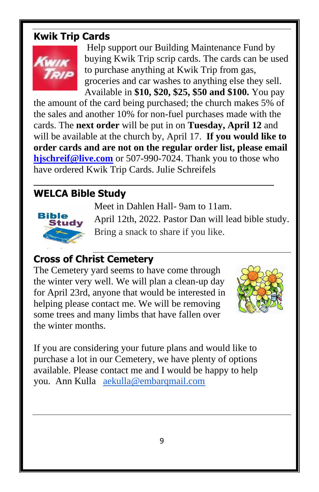### **Kwik Trip Cards**



Help support our Building Maintenance Fund by buying Kwik Trip scrip cards. The cards can be used to purchase anything at Kwik Trip from gas, groceries and car washes to anything else they sell. Available in **\$10, \$20, \$25, \$50 and \$100.** You pay

the amount of the card being purchased; the church makes 5% of the sales and another 10% for non-fuel purchases made with the cards. The **next order** will be put in on **Tuesday, April 12** and will be available at the church by, April 17. **If you would like to order cards and are not on the regular order list, please email [hjschreif@live.com](mailto:hjschreif@live.com)** or 507-990-7024. Thank you to those who have ordered Kwik Trip Cards. Julie Schreifels

## **WELCA Bible Study**



April 12th, 2022. Pastor Dan will lead bible study.

Bring a snack to share if you like.

Meet in Dahlen Hall- 9am to 11am.

#### **Cross of Christ Cemetery** [This Photo](https://www.stpaulcalhan.org/page/2/)

The Cemetery yard seems to have come through the winter very well. We will plan a clean-up day for Ap[ril 23rd](https://creativecommons.org/licenses/by-sa/3.0/), anyone that would be interested in h[elpi](https://creativecommons.org/licenses/by-sa/3.0/)ng please contact me. We will be removing some trees and many limbs that have fallen over the winter months.



If you are considering your future plans and would like to purchase a lot in our Cemetery, we have plenty of options available. Please contact me and I would be happy to help you. Ann Kulla [aekulla@embarqmail.com](mailto:aekulla@embarqmail.com)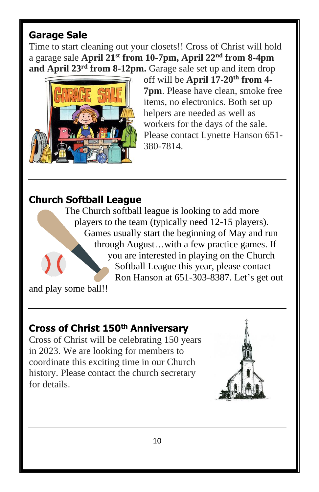### **Garage Sale**

Time to start cleaning out your closets!! Cross of Christ will hold a garage sale **April 21st from 10-7pm, April 22nd from 8-4pm and April 23rd from 8-12pm.** Garage sale set up and item drop



off will be **April 17-20th from 4- 7pm**. Please have clean, smoke free items, no electronics. Both set up helpers are needed as well as workers for the days of the sale. Please contact Lynette Hanson 651- 380-7814.

### **Church Softball League**

The Church softball league is looking to add more players to the team (typically need 12-15 players). Games usually start the beginning of May and run through August…with a few practice games. If you are interested in playing on the Church Softball League this year, please contact Ron Hanson at 651-303-8387. Let's get out

and play some ball!!

### **Cross of Christ 150th Anniversary**

Cross of Christ will be celebrating 150 years in 2023. We are looking for members to coordinate this exciting time in our Church history. Please contact the church secretary for details.

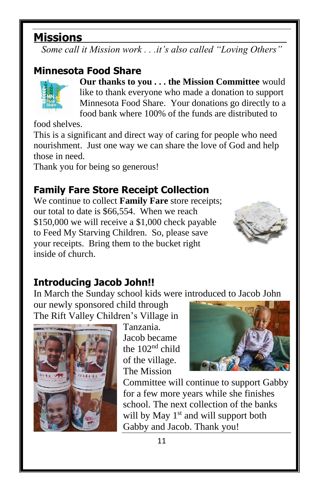# **Missions**

*Some call it Mission work . . .it's also called "Loving Others"*

# **Minnesota Food Share**



**Our thanks to you . . . the Mission Committee** would like to thank everyone who made a donation to support Minnesota Food Share. Your donations go directly to a food bank where 100% of the funds are distributed to

food shelves.

This is a significant and direct way of caring for people who need nourishment. Just one way we can share the love of God and help those in need.

Thank you for being so generous!

## **Family Fare Store Receipt Collection**

We continue to collect **Family Fare** store receipts; our total to date is \$66,554. When we reach \$150,000 we will receive a \$1,000 check payable to Feed My Starving Children. So, please save your receipts. Bring them to the bucket right inside of church.



## **Introducing Jacob John!!**

In March the Sunday school kids were introduced to Jacob John

our newly sponsored child through The Rift Valley Children's Village in



Tanzania. Jacob became the 102nd child of the village. The Mission



Committee will continue to support Gabby for a few more years while she finishes school. The next collection of the banks will by May 1<sup>st</sup> and will support both Gabby and Jacob. Thank you!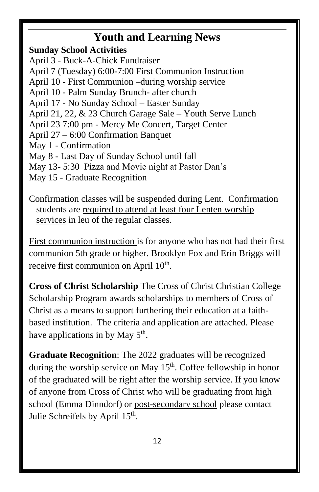# **Youth and Learning News**

**Sunday School Activities** April 3 - Buck-A-Chick Fundraiser April 7 (Tuesday) 6:00-7:00 First Communion Instruction April 10 - First Communion –during worship service April 10 - Palm Sunday Brunch- after church April 17 - No Sunday School – Easter Sunday April 21, 22, & 23 Church Garage Sale – Youth Serve Lunch April 23 7:00 pm - Mercy Me Concert, Target Center April 27 – 6:00 Confirmation Banquet May 1 - Confirmation May 8 - Last Day of Sunday School until fall May 13- 5:30 Pizza and Movie night at Pastor Dan's May 15 - Graduate Recognition

Confirmation classes will be suspended during Lent. Confirmation students are required to attend at least four Lenten worship services in leu of the regular classes.

First communion instruction is for anyone who has not had their first communion 5th grade or higher. Brooklyn Fox and Erin Briggs will receive first communion on April 10<sup>th</sup>.

**Cross of Christ Scholarship** The Cross of Christ Christian College Scholarship Program awards scholarships to members of Cross of Christ as a means to support furthering their education at a faithbased institution. The criteria and application are attached. Please have applications in by May  $5<sup>th</sup>$ .

**Graduate Recognition**: The 2022 graduates will be recognized during the worship service on May  $15<sup>th</sup>$ . Coffee fellowship in honor of the graduated will be right after the worship service. If you know of anyone from Cross of Christ who will be graduating from high school (Emma Dinndorf) or post-secondary school please contact Julie Schreifels by April 15<sup>th</sup>.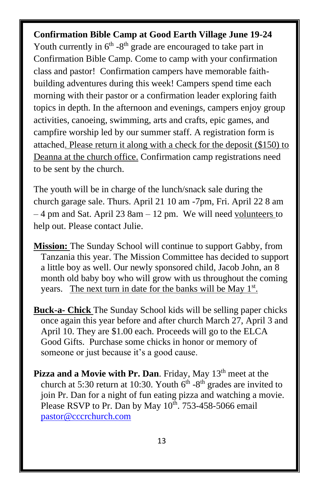#### **Confirmation Bible Camp at Good Earth Village June 19-24**

Youth currently in  $6<sup>th</sup> - 8<sup>th</sup>$  grade are encouraged to take part in Confirmation Bible Camp. Come to camp with your confirmation class and pastor! Confirmation campers have memorable faithbuilding adventures during this week! Campers spend time each morning with their pastor or a confirmation leader exploring faith topics in depth. In the afternoon and evenings, campers enjoy group activities, canoeing, swimming, arts and crafts, epic games, and campfire worship led by our summer staff. A registration form is attached. Please return it along with a check for the deposit (\$150) to Deanna at the church office. Confirmation camp registrations need to be sent by the church.

The youth will be in charge of the lunch/snack sale during the church garage sale. Thurs. April 21 10 am -7pm, Fri. April 22 8 am – 4 pm and Sat. April 23 8am – 12 pm. We will need volunteers to help out. Please contact Julie.

- **Mission:** The Sunday School will continue to support Gabby, from Tanzania this year. The Mission Committee has decided to support a little boy as well. Our newly sponsored child, Jacob John, an 8 month old baby boy who will grow with us throughout the coming years. The next turn in date for the banks will be May 1<sup>st</sup>.
- **Buck-a- Chick** The Sunday School kids will be selling paper chicks once again this year before and after church March 27, April 3 and April 10. They are \$1.00 each. Proceeds will go to the ELCA Good Gifts. Purchase some chicks in honor or memory of someone or just because it's a good cause.
- **Pizza and a Movie with Pr. Dan.** Friday, May 13<sup>th</sup> meet at the church at 5:30 return at 10:30. Youth  $6<sup>th</sup>$  -8<sup>th</sup> grades are invited to join Pr. Dan for a night of fun eating pizza and watching a movie. Please RSVP to Pr. Dan by May  $10^{th}$ . 753-458-5066 email [pastor@cccrchurch.com](mailto:pastor@cccrchurch.com)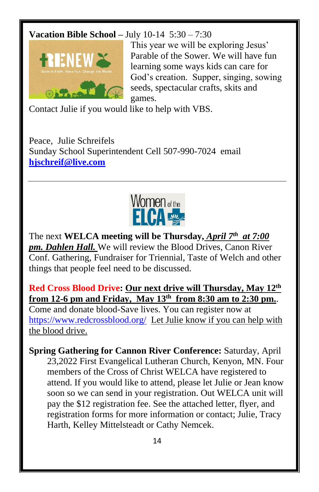#### **Vacation Bible School –** July 10-14 5:30 – 7:30



This year we will be exploring Jesus' Parable of the Sower. We will have fun learning some ways kids can care for God's creation. Supper, singing, sowing seeds, spectacular crafts, skits and games.

Contact Julie if you would like to help with VBS.

Peace, Julie Schreifels Sunday School Superintendent Cell 507-990-7024 email **[hjschreif@live.com](mailto:hjschreif@live.com)**



The next **WELCA meeting will be Thursday,** *April 7th at 7:00 pm. Dahlen Hall.* We will review the Blood Drives, Canon River Conf. Gathering, Fundraiser for Triennial, Taste of Welch and other things that people feel need to be discussed.

**Red Cross Blood Drive: Our next drive will Thursday, May 12 th from 12-6 pm and Friday, May 13 th from 8:30 am to 2:30 pm.**.

Come and donate blood-Save lives. You can register now at <https://www.redcrossblood.org/> Let Julie know if you can help with the blood drive.

**Spring Gathering for Cannon River Conference:** Saturday, April 23,2022 First Evangelical Lutheran Church, Kenyon, MN. Four members of the Cross of Christ WELCA have registered to attend. If you would like to attend, please let Julie or Jean know soon so we can send in your registration. Out WELCA unit will pay the \$12 registration fee. See the attached letter, flyer, and registration forms for more information or contact; Julie, Tracy Harth, Kelley Mittelsteadt or Cathy Nemcek.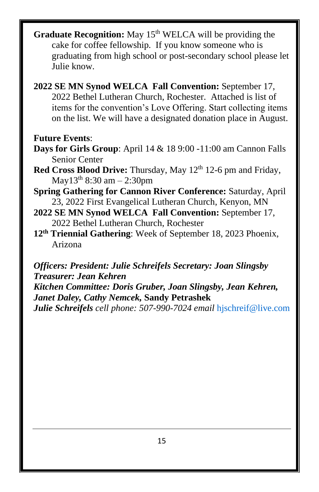- **Graduate Recognition:** May 15<sup>th</sup> WELCA will be providing the cake for coffee fellowship. If you know someone who is graduating from high school or post-secondary school please let Julie know.
- **2022 SE MN Synod WELCA Fall Convention:** September 17, 2022 Bethel Lutheran Church, Rochester. Attached is list of items for the convention's Love Offering. Start collecting items on the list. We will have a designated donation place in August.

#### **Future Events**:

- **Days for Girls Group**: April 14 & 18 9:00 -11:00 am Cannon Falls Senior Center
- Red Cross Blood Drive: Thursday, May 12<sup>th</sup> 12-6 pm and Friday, May13 th 8:30 am – 2:30pm
- **Spring Gathering for Cannon River Conference:** Saturday, April 23, 2022 First Evangelical Lutheran Church, Kenyon, MN
- **2022 SE MN Synod WELCA Fall Convention:** September 17, 2022 Bethel Lutheran Church, Rochester
- **12 th Triennial Gathering**: Week of September 18, 2023 Phoenix, Arizona

*Officers: President: Julie Schreifels Secretary: Joan Slingsby Treasurer: Jean Kehren*

*Kitchen Committee: Doris Gruber, Joan Slingsby, Jean Kehren, Janet Daley, Cathy Nemcek,* **Sandy Petrashek**

*Julie Schreifels cell phone: 507-990-7024 email* [hjschreif@live.com](mailto:hjschreif@live.com)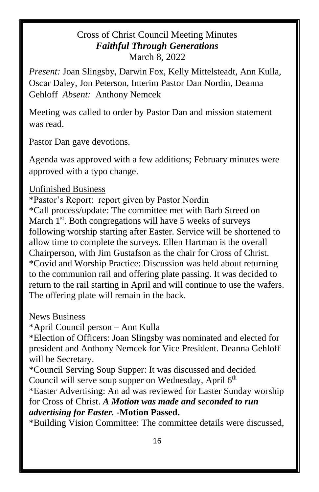#### Cross of Christ Council Meeting Minutes *Faithful Through Generations* March 8, 2022

*Present:* Joan Slingsby, Darwin Fox, Kelly Mittelsteadt, Ann Kulla, Oscar Daley, Jon Peterson, Interim Pastor Dan Nordin, Deanna Gehloff *Absent:* Anthony Nemcek

Meeting was called to order by Pastor Dan and mission statement was read.

Pastor Dan gave devotions.

Agenda was approved with a few additions; February minutes were approved with a typo change.

#### Unfinished Business

\*Pastor's Report: report given by Pastor Nordin \*Call process/update: The committee met with Barb Streed on March  $1<sup>st</sup>$ . Both congregations will have 5 weeks of surveys following worship starting after Easter. Service will be shortened to allow time to complete the surveys. Ellen Hartman is the overall Chairperson, with Jim Gustafson as the chair for Cross of Christ. \*Covid and Worship Practice: Discussion was held about returning to the communion rail and offering plate passing. It was decided to return to the rail starting in April and will continue to use the wafers. The offering plate will remain in the back.

News Business

\*April Council person – Ann Kulla

\*Election of Officers: Joan Slingsby was nominated and elected for president and Anthony Nemcek for Vice President. Deanna Gehloff will be Secretary.

\*Council Serving Soup Supper: It was discussed and decided Council will serve soup supper on Wednesday, April 6<sup>th</sup>

\*Easter Advertising: An ad was reviewed for Easter Sunday worship for Cross of Christ. *A Motion was made and seconded to run advertising for Easter.* **-Motion Passed.**

\*Building Vision Committee: The committee details were discussed,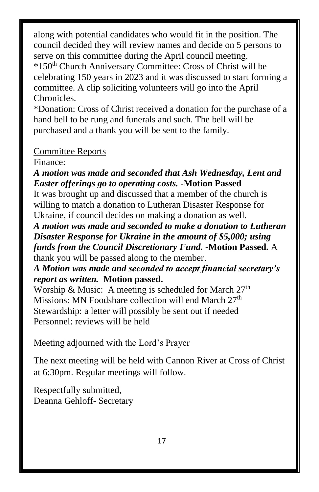along with potential candidates who would fit in the position. The council decided they will review names and decide on 5 persons to serve on this committee during the April council meeting. \*150th Church Anniversary Committee: Cross of Christ will be

celebrating 150 years in 2023 and it was discussed to start forming a committee. A clip soliciting volunteers will go into the April Chronicles.

\*Donation: Cross of Christ received a donation for the purchase of a hand bell to be rung and funerals and such. The bell will be purchased and a thank you will be sent to the family.

### Committee Reports

Finance:

*A motion was made and seconded that Ash Wednesday, Lent and Easter offerings go to operating costs.* **-Motion Passed**

It was brought up and discussed that a member of the church is willing to match a donation to Lutheran Disaster Response for Ukraine, if council decides on making a donation as well.

*A motion was made and seconded to make a donation to Lutheran Disaster Response for Ukraine in the amount of \$5,000; using funds from the Council Discretionary Fund.* **-Motion Passed.** A thank you will be passed along to the member.

*A Motion was made and seconded to accept financial secretary's report as written.* **Motion passed.**

Worship & Music: A meeting is scheduled for March  $27<sup>th</sup>$ Missions: MN Foodshare collection will end March  $27<sup>th</sup>$ Stewardship: a letter will possibly be sent out if needed Personnel: reviews will be held

Meeting adjourned with the Lord's Prayer

The next meeting will be held with Cannon River at Cross of Christ at 6:30pm. Regular meetings will follow.

Respectfully submitted, Deanna Gehloff- Secretary